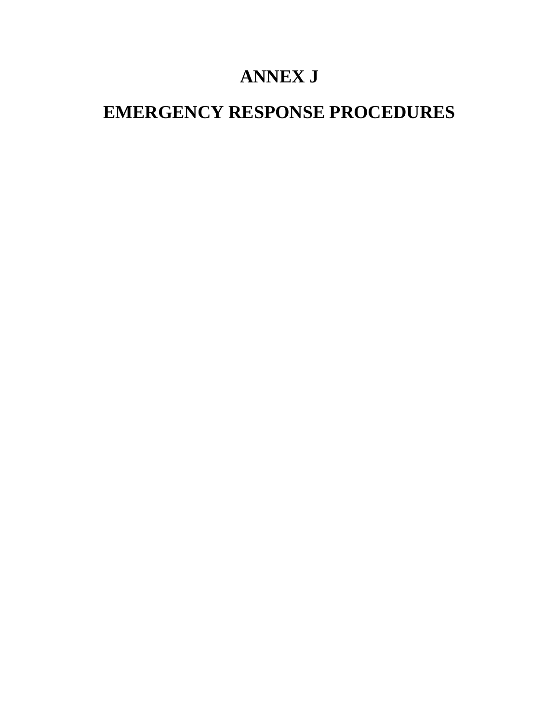# **ANNEX J**

# **EMERGENCY RESPONSE PROCEDURES**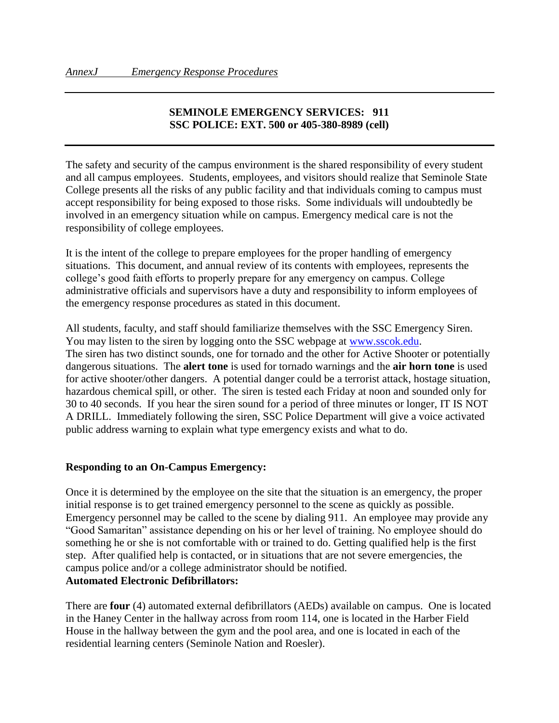## **SEMINOLE EMERGENCY SERVICES: 911 SSC POLICE: EXT. 500 or 405-380-8989 (cell)**

The safety and security of the campus environment is the shared responsibility of every student and all campus employees. Students, employees, and visitors should realize that Seminole State College presents all the risks of any public facility and that individuals coming to campus must accept responsibility for being exposed to those risks. Some individuals will undoubtedly be involved in an emergency situation while on campus. Emergency medical care is not the responsibility of college employees.

It is the intent of the college to prepare employees for the proper handling of emergency situations. This document, and annual review of its contents with employees, represents the college's good faith efforts to properly prepare for any emergency on campus. College administrative officials and supervisors have a duty and responsibility to inform employees of the emergency response procedures as stated in this document.

All students, faculty, and staff should familiarize themselves with the SSC Emergency Siren. You may listen to the siren by logging onto the SSC webpage at [www.sscok.edu.](http://www.sscok.edu/) The siren has two distinct sounds, one for tornado and the other for Active Shooter or potentially dangerous situations. The **alert tone** is used for tornado warnings and the **air horn tone** is used for active shooter/other dangers. A potential danger could be a terrorist attack, hostage situation, hazardous chemical spill, or other. The siren is tested each Friday at noon and sounded only for 30 to 40 seconds. If you hear the siren sound for a period of three minutes or longer, IT IS NOT A DRILL. Immediately following the siren, SSC Police Department will give a voice activated public address warning to explain what type emergency exists and what to do.

#### **Responding to an On-Campus Emergency:**

Once it is determined by the employee on the site that the situation is an emergency, the proper initial response is to get trained emergency personnel to the scene as quickly as possible. Emergency personnel may be called to the scene by dialing 911.An employee may provide any "Good Samaritan" assistance depending on his or her level of training. No employee should do something he or she is not comfortable with or trained to do. Getting qualified help is the first step. After qualified help is contacted, or in situations that are not severe emergencies, the campus police and/or a college administrator should be notified. **Automated Electronic Defibrillators:**

There are **four** (4) automated external defibrillators (AEDs) available on campus. One is located in the Haney Center in the hallway across from room 114, one is located in the Harber Field House in the hallway between the gym and the pool area, and one is located in each of the residential learning centers (Seminole Nation and Roesler).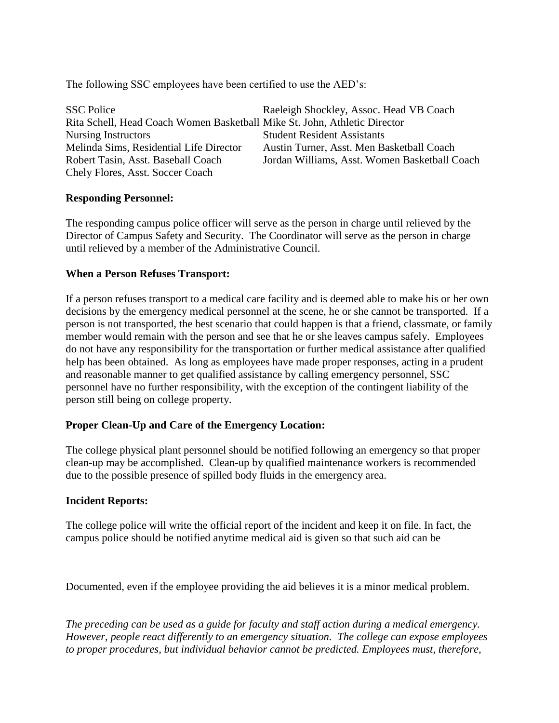The following SSC employees have been certified to use the AED's:

| <b>SSC Police</b>                                                         | Raeleigh Shockley, Assoc. Head VB Coach       |
|---------------------------------------------------------------------------|-----------------------------------------------|
| Rita Schell, Head Coach Women Basketball Mike St. John, Athletic Director |                                               |
| <b>Nursing Instructors</b>                                                | <b>Student Resident Assistants</b>            |
| Melinda Sims, Residential Life Director                                   | Austin Turner, Asst. Men Basketball Coach     |
| Robert Tasin, Asst. Baseball Coach                                        | Jordan Williams, Asst. Women Basketball Coach |
| Chely Flores, Asst. Soccer Coach                                          |                                               |

#### **Responding Personnel:**

The responding campus police officer will serve as the person in charge until relieved by the Director of Campus Safety and Security. The Coordinator will serve as the person in charge until relieved by a member of the Administrative Council.

#### **When a Person Refuses Transport:**

If a person refuses transport to a medical care facility and is deemed able to make his or her own decisions by the emergency medical personnel at the scene, he or she cannot be transported. If a person is not transported, the best scenario that could happen is that a friend, classmate, or family member would remain with the person and see that he or she leaves campus safely. Employees do not have any responsibility for the transportation or further medical assistance after qualified help has been obtained.As long as employees have made proper responses, acting in a prudent and reasonable manner to get qualified assistance by calling emergency personnel, SSC personnel have no further responsibility, with the exception of the contingent liability of the person still being on college property.

## **Proper Clean-Up and Care of the Emergency Location:**

The college physical plant personnel should be notified following an emergency so that proper clean-up may be accomplished. Clean-up by qualified maintenance workers is recommended due to the possible presence of spilled body fluids in the emergency area.

#### **Incident Reports:**

The college police will write the official report of the incident and keep it on file. In fact, the campus police should be notified anytime medical aid is given so that such aid can be

Documented, even if the employee providing the aid believes it is a minor medical problem.

*The preceding can be used as a guide for faculty and staff action during a medical emergency. However, people react differently to an emergency situation. The college can expose employees to proper procedures, but individual behavior cannot be predicted. Employees must, therefore,*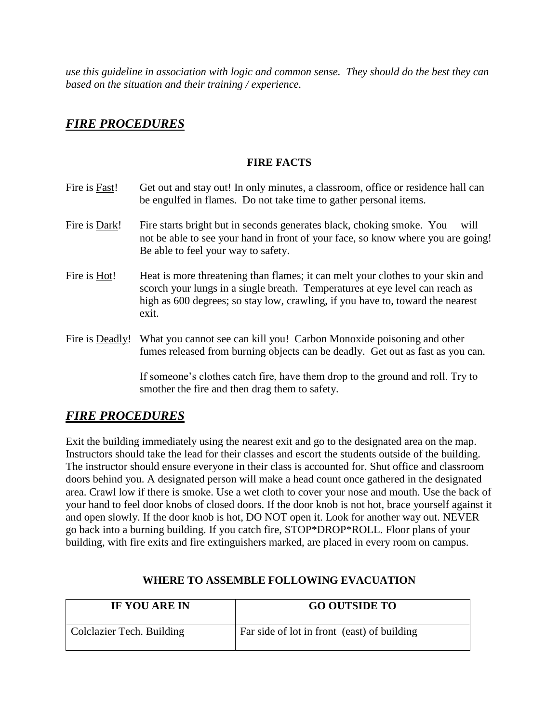*use this guideline in association with logic and common sense. They should do the best they can based on the situation and their training / experience.*

# *FIRE PROCEDURES*

#### **FIRE FACTS**

- Fire is Fast! Get out and stay out! In only minutes, a classroom, office or residence hall can be engulfed in flames. Do not take time to gather personal items. Fire is Dark! Fire starts bright but in seconds generates black, choking smoke. You will not be able to see your hand in front of your face, so know where you are going! Be able to feel your way to safety.
- Fire is Hot! Heat is more threatening than flames; it can melt your clothes to your skin and scorch your lungs in a single breath. Temperatures at eye level can reach as high as 600 degrees; so stay low, crawling, if you have to, toward the nearest exit.
- Fire is Deadly! What you cannot see can kill you! Carbon Monoxide poisoning and other fumes released from burning objects can be deadly. Get out as fast as you can.

If someone's clothes catch fire, have them drop to the ground and roll. Try to smother the fire and then drag them to safety.

# *FIRE PROCEDURES*

Exit the building immediately using the nearest exit and go to the designated area on the map. Instructors should take the lead for their classes and escort the students outside of the building. The instructor should ensure everyone in their class is accounted for. Shut office and classroom doors behind you. A designated person will make a head count once gathered in the designated area. Crawl low if there is smoke. Use a wet cloth to cover your nose and mouth. Use the back of your hand to feel door knobs of closed doors. If the door knob is not hot, brace yourself against it and open slowly. If the door knob is hot, DO NOT open it. Look for another way out. NEVER go back into a burning building. If you catch fire, STOP\*DROP\*ROLL. Floor plans of your building, with fire exits and fire extinguishers marked, are placed in every room on campus.

| IF YOU ARE IN             | <b>GO OUTSIDE TO</b>                        |
|---------------------------|---------------------------------------------|
| Colclazier Tech. Building | Far side of lot in front (east) of building |

## **WHERE TO ASSEMBLE FOLLOWING EVACUATION**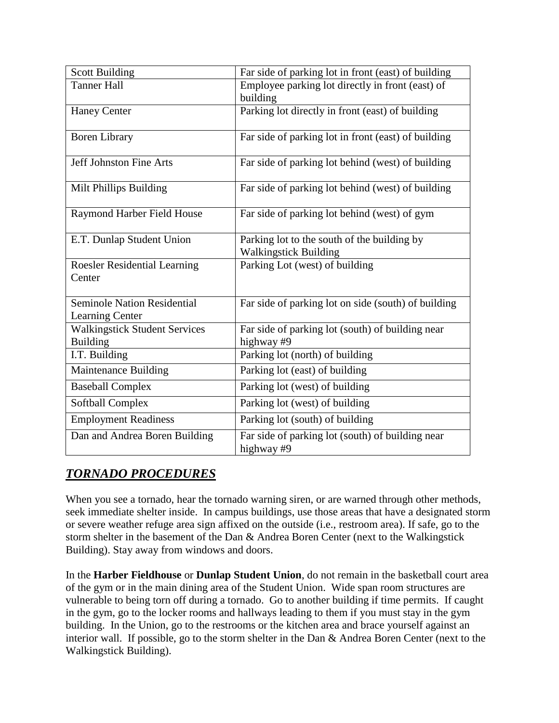| <b>Scott Building</b>                                 | Far side of parking lot in front (east) of building            |
|-------------------------------------------------------|----------------------------------------------------------------|
| <b>Tanner Hall</b>                                    | Employee parking lot directly in front (east) of               |
|                                                       | building                                                       |
| <b>Haney Center</b>                                   | Parking lot directly in front (east) of building               |
| <b>Boren Library</b>                                  | Far side of parking lot in front (east) of building            |
| <b>Jeff Johnston Fine Arts</b>                        | Far side of parking lot behind (west) of building              |
| Milt Phillips Building                                | Far side of parking lot behind (west) of building              |
| Raymond Harber Field House                            | Far side of parking lot behind (west) of gym                   |
| E.T. Dunlap Student Union                             | Parking lot to the south of the building by                    |
|                                                       | <b>Walkingstick Building</b>                                   |
| <b>Roesler Residential Learning</b>                   | Parking Lot (west) of building                                 |
| Center                                                |                                                                |
| Seminole Nation Residential<br><b>Learning Center</b> | Far side of parking lot on side (south) of building            |
| <b>Walkingstick Student Services</b>                  | Far side of parking lot (south) of building near               |
| <b>Building</b>                                       | highway#9                                                      |
| I.T. Building                                         | Parking lot (north) of building                                |
| Maintenance Building                                  | Parking lot (east) of building                                 |
| <b>Baseball Complex</b>                               | Parking lot (west) of building                                 |
| <b>Softball Complex</b>                               | Parking lot (west) of building                                 |
| <b>Employment Readiness</b>                           | Parking lot (south) of building                                |
| Dan and Andrea Boren Building                         | Far side of parking lot (south) of building near<br>highway #9 |

# *TORNADO PROCEDURES*

When you see a tornado, hear the tornado warning siren, or are warned through other methods, seek immediate shelter inside. In campus buildings, use those areas that have a designated storm or severe weather refuge area sign affixed on the outside (i.e., restroom area). If safe, go to the storm shelter in the basement of the Dan & Andrea Boren Center (next to the Walkingstick Building). Stay away from windows and doors.

In the **Harber Fieldhouse** or **Dunlap Student Union**, do not remain in the basketball court area of the gym or in the main dining area of the Student Union. Wide span room structures are vulnerable to being torn off during a tornado. Go to another building if time permits. If caught in the gym, go to the locker rooms and hallways leading to them if you must stay in the gym building. In the Union, go to the restrooms or the kitchen area and brace yourself against an interior wall. If possible, go to the storm shelter in the Dan & Andrea Boren Center (next to the Walkingstick Building).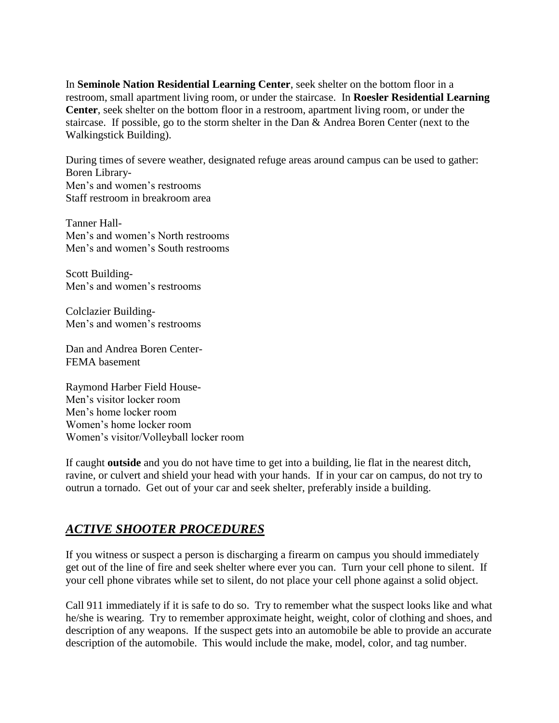In **Seminole Nation Residential Learning Center**, seek shelter on the bottom floor in a restroom, small apartment living room, or under the staircase. In **Roesler Residential Learning Center**, seek shelter on the bottom floor in a restroom, apartment living room, or under the staircase. If possible, go to the storm shelter in the Dan & Andrea Boren Center (next to the Walkingstick Building).

During times of severe weather, designated refuge areas around campus can be used to gather: Boren Library-Men's and women's restrooms Staff restroom in breakroom area

Tanner Hall-Men's and women's North restrooms Men's and women's South restrooms

Scott Building-Men's and women's restrooms

Colclazier Building-Men's and women's restrooms

Dan and Andrea Boren Center-FEMA basement

Raymond Harber Field House-Men's visitor locker room Men's home locker room Women's home locker room Women's visitor/Volleyball locker room

If caught **outside** and you do not have time to get into a building, lie flat in the nearest ditch, ravine, or culvert and shield your head with your hands. If in your car on campus, do not try to outrun a tornado. Get out of your car and seek shelter, preferably inside a building.

# *ACTIVE SHOOTER PROCEDURES*

If you witness or suspect a person is discharging a firearm on campus you should immediately get out of the line of fire and seek shelter where ever you can. Turn your cell phone to silent. If your cell phone vibrates while set to silent, do not place your cell phone against a solid object.

Call 911 immediately if it is safe to do so. Try to remember what the suspect looks like and what he/she is wearing. Try to remember approximate height, weight, color of clothing and shoes, and description of any weapons. If the suspect gets into an automobile be able to provide an accurate description of the automobile. This would include the make, model, color, and tag number.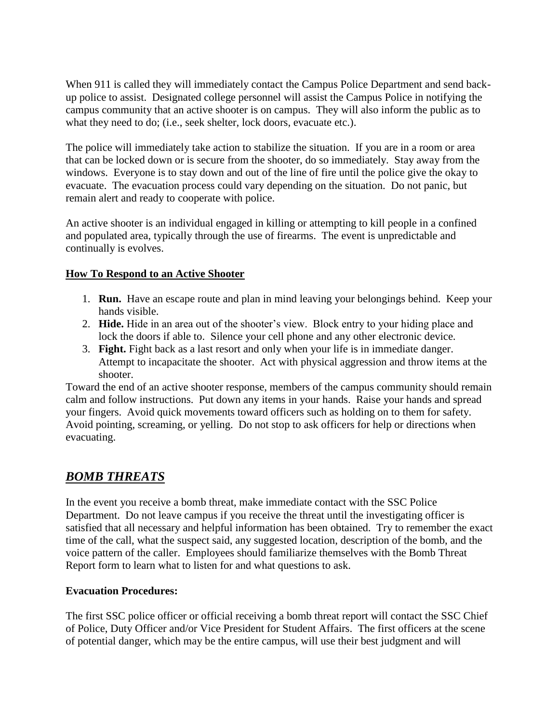When 911 is called they will immediately contact the Campus Police Department and send backup police to assist. Designated college personnel will assist the Campus Police in notifying the campus community that an active shooter is on campus. They will also inform the public as to what they need to do; (i.e., seek shelter, lock doors, evacuate etc.).

The police will immediately take action to stabilize the situation. If you are in a room or area that can be locked down or is secure from the shooter, do so immediately. Stay away from the windows. Everyone is to stay down and out of the line of fire until the police give the okay to evacuate. The evacuation process could vary depending on the situation. Do not panic, but remain alert and ready to cooperate with police.

An active shooter is an individual engaged in killing or attempting to kill people in a confined and populated area, typically through the use of firearms. The event is unpredictable and continually is evolves.

## **How To Respond to an Active Shooter**

- 1. **Run.** Have an escape route and plan in mind leaving your belongings behind. Keep your hands visible.
- 2. **Hide.** Hide in an area out of the shooter's view. Block entry to your hiding place and lock the doors if able to. Silence your cell phone and any other electronic device.
- 3. **Fight.** Fight back as a last resort and only when your life is in immediate danger. Attempt to incapacitate the shooter. Act with physical aggression and throw items at the shooter.

Toward the end of an active shooter response, members of the campus community should remain calm and follow instructions. Put down any items in your hands. Raise your hands and spread your fingers. Avoid quick movements toward officers such as holding on to them for safety. Avoid pointing, screaming, or yelling. Do not stop to ask officers for help or directions when evacuating.

# *BOMB THREATS*

In the event you receive a bomb threat, make immediate contact with the SSC Police Department. Do not leave campus if you receive the threat until the investigating officer is satisfied that all necessary and helpful information has been obtained. Try to remember the exact time of the call, what the suspect said, any suggested location, description of the bomb, and the voice pattern of the caller. Employees should familiarize themselves with the Bomb Threat Report form to learn what to listen for and what questions to ask.

## **Evacuation Procedures:**

The first SSC police officer or official receiving a bomb threat report will contact the SSC Chief of Police, Duty Officer and/or Vice President for Student Affairs. The first officers at the scene of potential danger, which may be the entire campus, will use their best judgment and will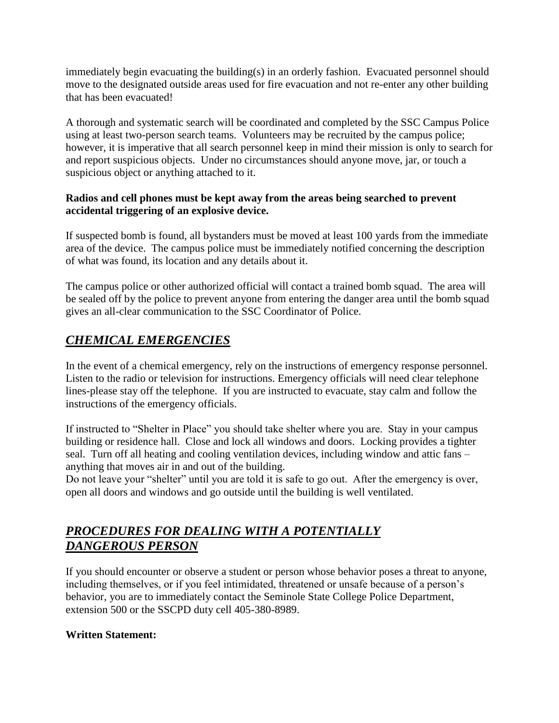immediately begin evacuating the building(s) in an orderly fashion. Evacuated personnel should move to the designated outside areas used for fire evacuation and not re-enter any other building that has been evacuated!

A thorough and systematic search will be coordinated and completed by the SSC Campus Police using at least two-person search teams. Volunteers may be recruited by the campus police; however, it is imperative that all search personnel keep in mind their mission is only to search for and report suspicious objects. Under no circumstances should anyone move, jar, or touch a suspicious object or anything attached to it.

## **Radios and cell phones must be kept away from the areas being searched to prevent accidental triggering of an explosive device.**

If suspected bomb is found, all bystanders must be moved at least 100 yards from the immediate area of the device. The campus police must be immediately notified concerning the description of what was found, its location and any details about it.

The campus police or other authorized official will contact a trained bomb squad. The area will be sealed off by the police to prevent anyone from entering the danger area until the bomb squad gives an all-clear communication to the SSC Coordinator of Police.

# *CHEMICAL EMERGENCIES*

In the event of a chemical emergency, rely on the instructions of emergency response personnel. Listen to the radio or television for instructions. Emergency officials will need clear telephone lines-please stay off the telephone. If you are instructed to evacuate, stay calm and follow the instructions of the emergency officials.

If instructed to "Shelter in Place" you should take shelter where you are. Stay in your campus building or residence hall. Close and lock all windows and doors. Locking provides a tighter seal. Turn off all heating and cooling ventilation devices, including window and attic fans – anything that moves air in and out of the building.

Do not leave your "shelter" until you are told it is safe to go out. After the emergency is over, open all doors and windows and go outside until the building is well ventilated.

# *PROCEDURES FOR DEALING WITH A POTENTIALLY DANGEROUS PERSON*

If you should encounter or observe a student or person whose behavior poses a threat to anyone, including themselves, or if you feel intimidated, threatened or unsafe because of a person's behavior, you are to immediately contact the Seminole State College Police Department, extension 500 or the SSCPD duty cell 405-380-8989.

# **Written Statement:**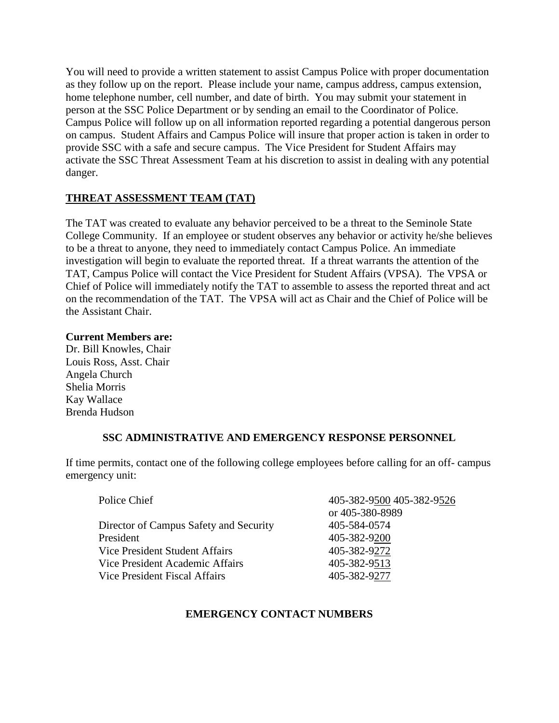You will need to provide a written statement to assist Campus Police with proper documentation as they follow up on the report. Please include your name, campus address, campus extension, home telephone number, cell number, and date of birth. You may submit your statement in person at the SSC Police Department or by sending an email to the Coordinator of Police. Campus Police will follow up on all information reported regarding a potential dangerous person on campus. Student Affairs and Campus Police will insure that proper action is taken in order to provide SSC with a safe and secure campus. The Vice President for Student Affairs may activate the SSC Threat Assessment Team at his discretion to assist in dealing with any potential danger.

# **THREAT ASSESSMENT TEAM (TAT)**

The TAT was created to evaluate any behavior perceived to be a threat to the Seminole State College Community. If an employee or student observes any behavior or activity he/she believes to be a threat to anyone, they need to immediately contact Campus Police. An immediate investigation will begin to evaluate the reported threat. If a threat warrants the attention of the TAT, Campus Police will contact the Vice President for Student Affairs (VPSA). The VPSA or Chief of Police will immediately notify the TAT to assemble to assess the reported threat and act on the recommendation of the TAT. The VPSA will act as Chair and the Chief of Police will be the Assistant Chair.

#### **Current Members are:**

Dr. Bill Knowles, Chair Louis Ross, Asst. Chair Angela Church Shelia Morris Kay Wallace Brenda Hudson

## **SSC ADMINISTRATIVE AND EMERGENCY RESPONSE PERSONNEL**

If time permits, contact one of the following college employees before calling for an off- campus emergency unit:

| 405-382-9500 405-382-9526 |
|---------------------------|
| or 405-380-8989           |
| 405-584-0574              |
| 405-382-9200              |
| 405-382-9272              |
| 405-382-9513              |
| 405-382-9277              |
|                           |

## **EMERGENCY CONTACT NUMBERS**